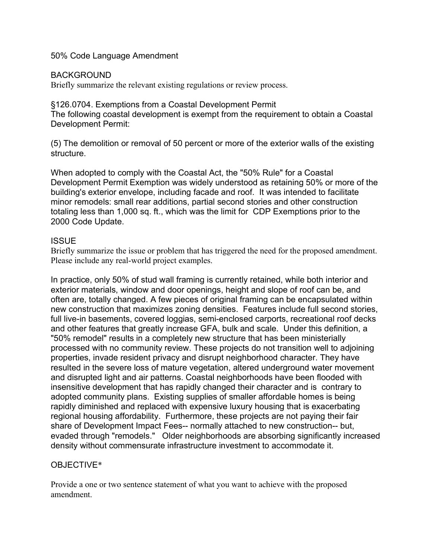50% Code Language Amendment

## BACKGROUND

Briefly summarize the relevant existing regulations or review process.

§126.0704. Exemptions from a Coastal Development Permit The following coastal development is exempt from the requirement to obtain a Coastal Development Permit:

(5) The demolition or removal of 50 percent or more of the exterior walls of the existing structure.

When adopted to comply with the Coastal Act, the "50% Rule" for a Coastal Development Permit Exemption was widely understood as retaining 50% or more of the building's exterior envelope, including facade and roof. It was intended to facilitate minor remodels: small rear additions, partial second stories and other construction totaling less than 1,000 sq. ft., which was the limit for CDP Exemptions prior to the 2000 Code Update.

## **ISSUE**

Briefly summarize the issue or problem that has triggered the need for the proposed amendment. Please include any real-world project examples.

In practice, only 50% of stud wall framing is currently retained, while both interior and exterior materials, window and door openings, height and slope of roof can be, and often are, totally changed. A few pieces of original framing can be encapsulated within new construction that maximizes zoning densities. Features include full second stories, full live-in basements, covered loggias, semi-enclosed carports, recreational roof decks and other features that greatly increase GFA, bulk and scale. Under this definition, a "50% remodel" results in a completely new structure that has been ministerially processed with no community review. These projects do not transition well to adjoining properties, invade resident privacy and disrupt neighborhood character. They have resulted in the severe loss of mature vegetation, altered underground water movement and disrupted light and air patterns. Coastal neighborhoods have been flooded with insensitive development that has rapidly changed their character and is contrary to adopted community plans. Existing supplies of smaller affordable homes is being rapidly diminished and replaced with expensive luxury housing that is exacerbating regional housing affordability. Furthermore, these projects are not paying their fair share of Development Impact Fees-- normally attached to new construction-- but, evaded through "remodels." Older neighborhoods are absorbing significantly increased density without commensurate infrastructure investment to accommodate it.

## OBJECTIVE\*

Provide a one or two sentence statement of what you want to achieve with the proposed amendment.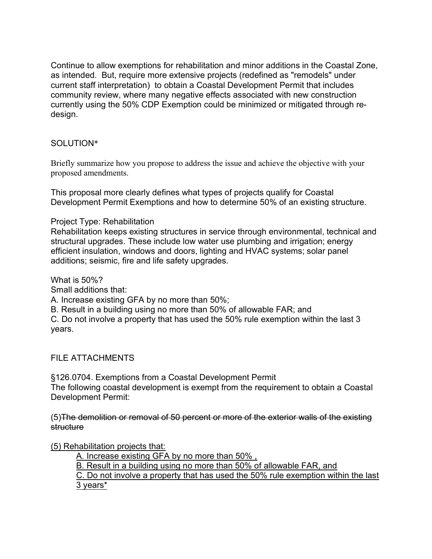Continue to allow exemptions for rehabilitation and minor additions in the Coastal Zone, as intended. But, require more extensive projects (redefined as "remodels" under current staff interpretation) to obtain a Coastal Development Permit that includes community review, where many negative effects associated with new construction currently using the 50% CDP Exemption could be minimized or mitigated through redesign.

## SOLUTION\*

Briefly summarize how you propose to address the issue and achieve the objective with your proposed amendments.

This proposal more clearly defines what types of projects qualify for Coastal Development Permit Exemptions and how to determine 50% of an existing structure.

Project Type: Rehabilitation

Rehabilitation keeps existing structures in service through environmental, technical and structural upgrades. These include low water use plumbing and irrigation; energy efficient insulation, windows and doors, lighting and HVAC systems; solar panel additions; seismic, fire and life safety upgrades.

What is 50%?

Small additions that:

A. Increase existing GFA by no more than 50%;

B. Result in a building using no more than 50% of allowable FAR; and

C. Do not involve a property that has used the 50% rule exemption within the last 3 years.

FILE ATTACHMENTS

§126.0704. Exemptions from a Coastal Development Permit The following coastal development is exempt from the requirement to obtain a Coastal Development Permit:

(5)The demolition or removal of 50 percent or more of the exterior walls of the existing structure

(5) Rehabilitation projects that:

A. Increase existing GFA by no more than 50% ,

B. Result in a building using no more than 50% of allowable FAR, and

C. Do not involve a property that has used the 50% rule exemption within the last 3 years\*